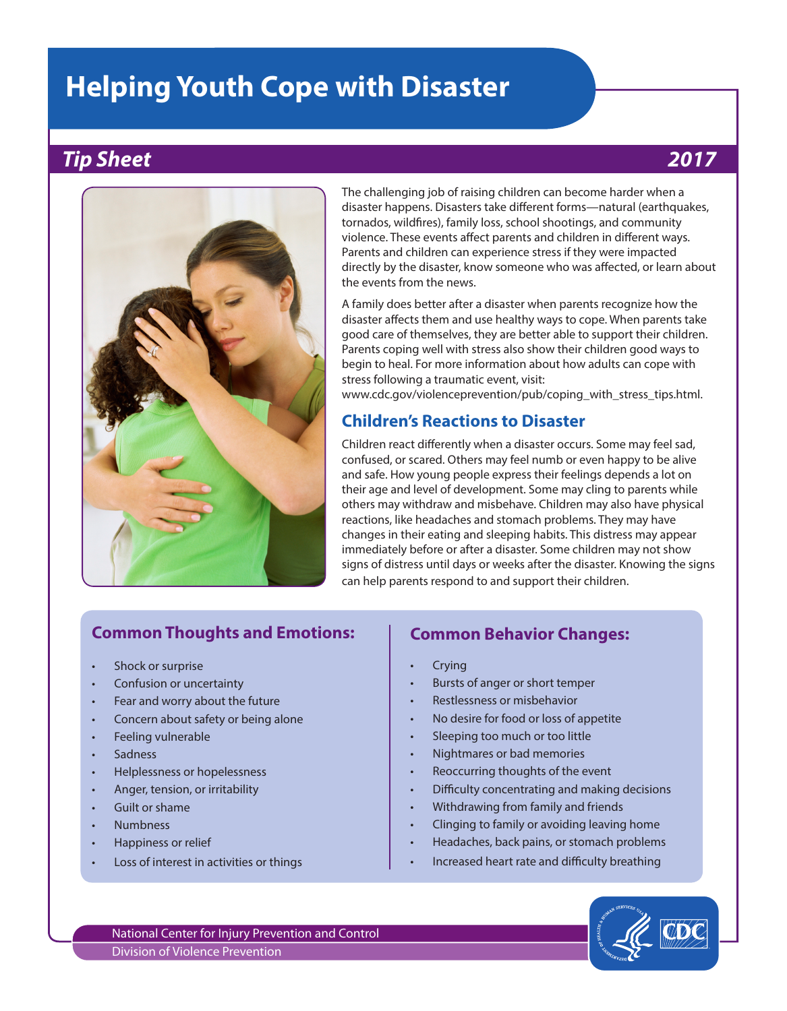# **Helping Youth Cope with Disaster**

## *Tip Sheet 2017*



The challenging job of raising children can become harder when a disaster happens. Disasters take different forms—natural (earthquakes, tornados, wildfires), family loss, school shootings, and community violence. These events affect parents and children in different ways. Parents and children can experience stress if they were impacted directly by the disaster, know someone who was affected, or learn about the events from the news.

A family does better after a disaster when parents recognize how the disaster affects them and use healthy ways to cope. When parents take good care of themselves, they are better able to support their children. Parents coping well with stress also show their children good ways to begin to heal. For more information about how adults can cope with stress following a traumatic event, visit:

[www.cdc.gov/violenceprevention/pub/coping\\_with\\_stress\\_tips.html.](http://www.cdc.gov/violenceprevention/pub/coping_with_stress_tips.html)

## **Children's Reactions to Disaster**

Children react differently when a disaster occurs. Some may feel sad, confused, or scared. Others may feel numb or even happy to be alive and safe. How young people express their feelings depends a lot on their age and level of development. Some may cling to parents while others may withdraw and misbehave. Children may also have physical reactions, like headaches and stomach problems. They may have changes in their eating and sleeping habits. This distress may appear immediately before or after a disaster. Some children may not show signs of distress until days or weeks after the disaster. Knowing the signs can help parents respond to and support their children.

## **Common Thoughts and Emotions:**

- Shock or surprise
- Confusion or uncertainty
- Fear and worry about the future
- Concern about safety or being alone
- Feeling vulnerable
- Sadness
- Helplessness or hopelessness
- Anger, tension, or irritability
- Guilt or shame
- Numbness
- Happiness or relief
- Loss of interest in activities or things

## **Common Behavior Changes:**

- **Crying**
- Bursts of anger or short temper
- Restlessness or misbehavior
- No desire for food or loss of appetite
- Sleeping too much or too little
- Nightmares or bad memories
- Reoccurring thoughts of the event
- Difficulty concentrating and making decisions
- Withdrawing from family and friends
- Clinging to family or avoiding leaving home
- Headaches, back pains, or stomach problems
- Increased heart rate and difficulty breathing



National Center for Injury Prevention and Control Division of Violence Prevention